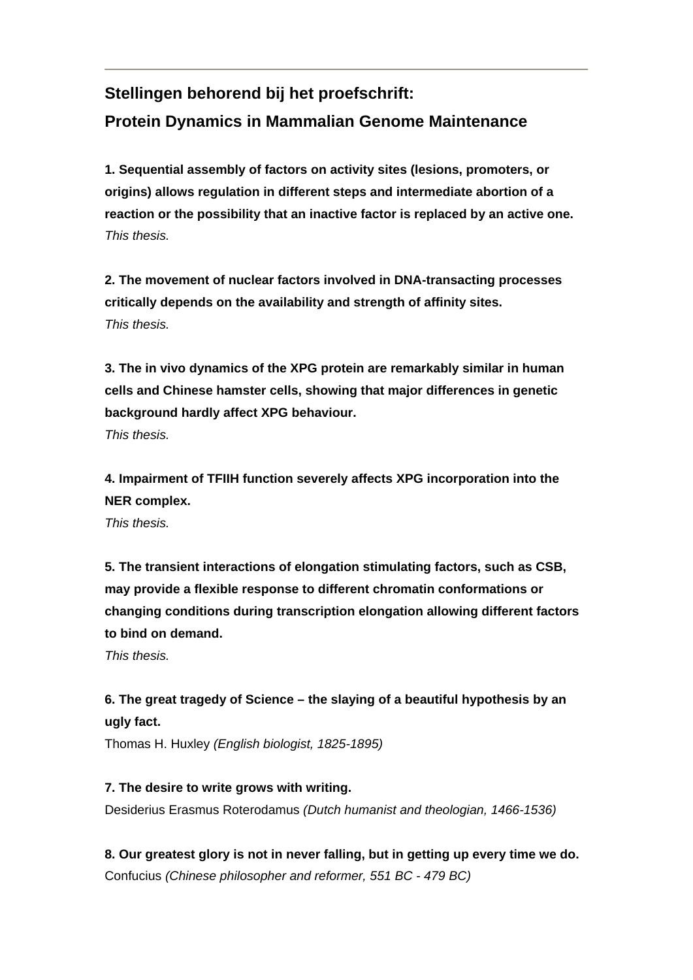# **Stellingen behorend bij het proefschrift: Protein Dynamics in Mammalian Genome Maintenance**

**1. Sequential assembly of factors on activity sites (lesions, promoters, or origins) allows regulation in different steps and intermediate abortion of a reaction or the possibility that an inactive factor is replaced by an active one.**  *This thesis.* 

**2. The movement of nuclear factors involved in DNA-transacting processes critically depends on the availability and strength of affinity sites.**  *This thesis.* 

**3. The in vivo dynamics of the XPG protein are remarkably similar in human cells and Chinese hamster cells, showing that major differences in genetic background hardly affect XPG behaviour.** 

*This thesis.*

**4. Impairment of TFIIH function severely affects XPG incorporation into the NER complex.** 

*This thesis.*

**5. The transient interactions of elongation stimulating factors, such as CSB, may provide a flexible response to different chromatin conformations or changing conditions during transcription elongation allowing different factors to bind on demand.** 

*This thesis.* 

## **6. The great tragedy of Science – the slaying of a beautiful hypothesis by an ugly fact.**

Thomas H. Huxley *(English biologist, 1825-1895)*

#### **7. The desire to write grows with writing.**

Desiderius Erasmus Roterodamus *(Dutch humanist and theologian, 1466-1536)*

**8. Our greatest glory is not in never falling, but in getting up every time we do.**  Confucius *(Chinese philosopher and reformer, 551 BC - 479 BC)*